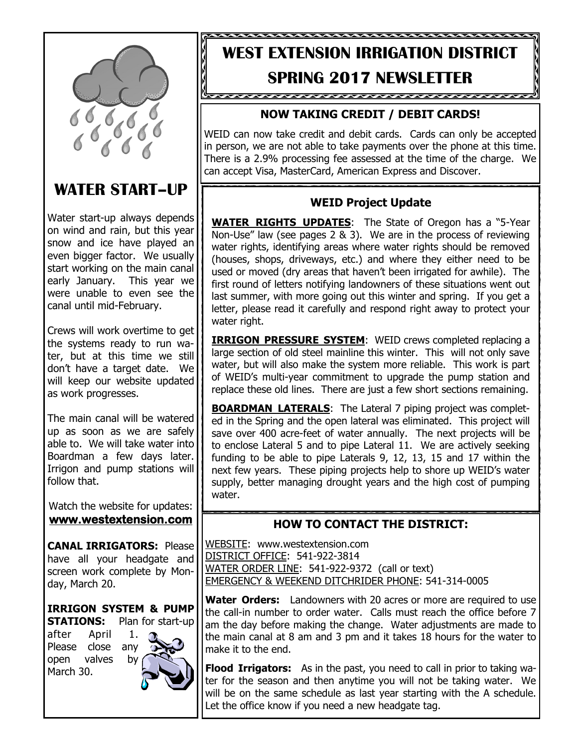

# **WATER START–UP**

Water start-up always depends on wind and rain, but this year snow and ice have played an even bigger factor. We usually start working on the main canal early January. This year we were unable to even see the canal until mid-February.

Crews will work overtime to get the systems ready to run water, but at this time we still don't have a target date. We will keep our website updated as work progresses.

The main canal will be watered up as soon as we are safely able to. We will take water into Boardman a few days later. Irrigon and pump stations will follow that.

Watch the website for updates: **www.westextension.com**

**CANAL IRRIGATORS:** Please have all your headgate and screen work complete by Monday, March 20.

**IRRIGON SYSTEM & PUMP STATIONS:** Plan for start-up

after April 1. Please close any open valves by March 30.



# WEID NEWSLETTER. **WEST EXTENSION IRRIGATION DISTRICT SPRING 2017 NEWSLETTER**

<u>baaaaaaaaaaaaaaaaaaaaaaaaaaaaaaa</u>

# **NOW TAKING CREDIT / DEBIT CARDS!**

WEID can now take credit and debit cards. Cards can only be accepted in person, we are not able to take payments over the phone at this time. There is a 2.9% processing fee assessed at the time of the charge. We can accept Visa, MasterCard, American Express and Discover.

## **WEID Project Update**

**WATER RIGHTS UPDATES**: The State of Oregon has a "5-Year Non-Use" law (see pages 2 & 3). We are in the process of reviewing water rights, identifying areas where water rights should be removed (houses, shops, driveways, etc.) and where they either need to be used or moved (dry areas that haven't been irrigated for awhile). The first round of letters notifying landowners of these situations went out last summer, with more going out this winter and spring. If you get a letter, please read it carefully and respond right away to protect your water right.

**IRRIGON PRESSURE SYSTEM:** WEID crews completed replacing a large section of old steel mainline this winter. This will not only save water, but will also make the system more reliable. This work is part of WEID's multi-year commitment to upgrade the pump station and replace these old lines. There are just a few short sections remaining.

**BOARDMAN LATERALS:** The Lateral 7 piping project was completed in the Spring and the open lateral was eliminated. This project will save over 400 acre-feet of water annually. The next projects will be to enclose Lateral 5 and to pipe Lateral 11. We are actively seeking funding to be able to pipe Laterals 9, 12, 13, 15 and 17 within the next few years. These piping projects help to shore up WEID's water supply, better managing drought years and the high cost of pumping water.

## **HOW TO CONTACT THE DISTRICT:**

WEBSITE: www.westextension.com DISTRICT OFFICE: 541-922-3814 WATER ORDER LINE: 541-922-9372 (call or text) EMERGENCY & WEEKEND DITCHRIDER PHONE: 541-314-0005

**Water Orders:** Landowners with 20 acres or more are required to use the call-in number to order water. Calls must reach the office before 7 am the day before making the change. Water adjustments are made to the main canal at 8 am and 3 pm and it takes 18 hours for the water to make it to the end.

**Flood Irrigators:** As in the past, you need to call in prior to taking water for the season and then anytime you will not be taking water. We will be on the same schedule as last year starting with the A schedule. Let the office know if you need a new headgate tag.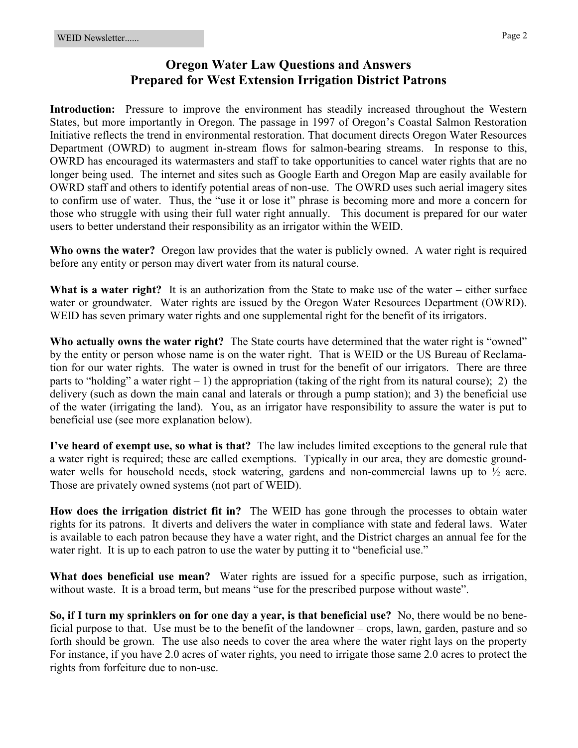### **Oregon Water Law Questions and Answers Prepared for West Extension Irrigation District Patrons**

**Introduction:** Pressure to improve the environment has steadily increased throughout the Western States, but more importantly in Oregon. The passage in 1997 of Oregon's Coastal Salmon Restoration Initiative reflects the trend in environmental restoration. That document directs Oregon Water Resources Department (OWRD) to augment in-stream flows for salmon-bearing streams. In response to this, OWRD has encouraged its watermasters and staff to take opportunities to cancel water rights that are no longer being used. The internet and sites such as Google Earth and Oregon Map are easily available for OWRD staff and others to identify potential areas of non-use. The OWRD uses such aerial imagery sites to confirm use of water. Thus, the "use it or lose it" phrase is becoming more and more a concern for those who struggle with using their full water right annually. This document is prepared for our water users to better understand their responsibility as an irrigator within the WEID.

**Who owns the water?** Oregon law provides that the water is publicly owned. A water right is required before any entity or person may divert water from its natural course.

**What is a water right?** It is an authorization from the State to make use of the water – either surface water or groundwater. Water rights are issued by the Oregon Water Resources Department (OWRD). WEID has seven primary water rights and one supplemental right for the benefit of its irrigators.

**Who actually owns the water right?** The State courts have determined that the water right is "owned" by the entity or person whose name is on the water right. That is WEID or the US Bureau of Reclamation for our water rights. The water is owned in trust for the benefit of our irrigators. There are three parts to "holding" a water right  $-1$ ) the appropriation (taking of the right from its natural course); 2) the delivery (such as down the main canal and laterals or through a pump station); and 3) the beneficial use of the water (irrigating the land). You, as an irrigator have responsibility to assure the water is put to beneficial use (see more explanation below).

**I've heard of exempt use, so what is that?** The law includes limited exceptions to the general rule that a water right is required; these are called exemptions. Typically in our area, they are domestic groundwater wells for household needs, stock watering, gardens and non-commercial lawns up to  $\frac{1}{2}$  acre. Those are privately owned systems (not part of WEID).

**How does the irrigation district fit in?** The WEID has gone through the processes to obtain water rights for its patrons. It diverts and delivers the water in compliance with state and federal laws. Water is available to each patron because they have a water right, and the District charges an annual fee for the water right. It is up to each patron to use the water by putting it to "beneficial use."

**What does beneficial use mean?** Water rights are issued for a specific purpose, such as irrigation, without waste. It is a broad term, but means "use for the prescribed purpose without waste".

**So, if I turn my sprinklers on for one day a year, is that beneficial use?** No, there would be no beneficial purpose to that. Use must be to the benefit of the landowner – crops, lawn, garden, pasture and so forth should be grown. The use also needs to cover the area where the water right lays on the property For instance, if you have 2.0 acres of water rights, you need to irrigate those same 2.0 acres to protect the rights from forfeiture due to non-use.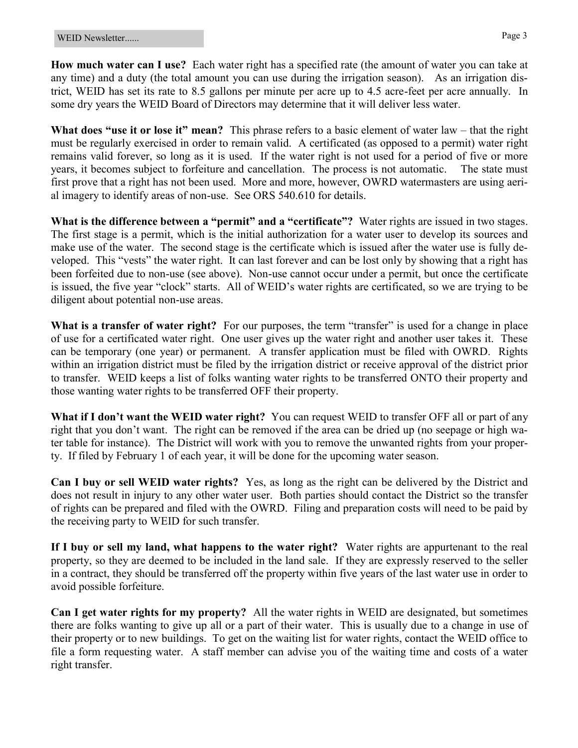**How much water can I use?** Each water right has a specified rate (the amount of water you can take at any time) and a duty (the total amount you can use during the irrigation season). As an irrigation district, WEID has set its rate to 8.5 gallons per minute per acre up to 4.5 acre-feet per acre annually. In some dry years the WEID Board of Directors may determine that it will deliver less water.

**What does "use it or lose it" mean?** This phrase refers to a basic element of water law – that the right must be regularly exercised in order to remain valid. A certificated (as opposed to a permit) water right remains valid forever, so long as it is used. If the water right is not used for a period of five or more years, it becomes subject to forfeiture and cancellation. The process is not automatic. The state must first prove that a right has not been used. More and more, however, OWRD watermasters are using aerial imagery to identify areas of non-use. See ORS 540.610 for details.

**What is the difference between a "permit" and a "certificate"?** Water rights are issued in two stages. The first stage is a permit, which is the initial authorization for a water user to develop its sources and make use of the water. The second stage is the certificate which is issued after the water use is fully developed. This "vests" the water right. It can last forever and can be lost only by showing that a right has been forfeited due to non-use (see above). Non-use cannot occur under a permit, but once the certificate is issued, the five year "clock" starts. All of WEID's water rights are certificated, so we are trying to be diligent about potential non-use areas.

What is a transfer of water right? For our purposes, the term "transfer" is used for a change in place of use for a certificated water right. One user gives up the water right and another user takes it. These can be temporary (one year) or permanent. A transfer application must be filed with OWRD. Rights within an irrigation district must be filed by the irrigation district or receive approval of the district prior to transfer. WEID keeps a list of folks wanting water rights to be transferred ONTO their property and those wanting water rights to be transferred OFF their property.

**What if I don't want the WEID water right?** You can request WEID to transfer OFF all or part of any right that you don't want. The right can be removed if the area can be dried up (no seepage or high water table for instance). The District will work with you to remove the unwanted rights from your property. If filed by February 1 of each year, it will be done for the upcoming water season.

**Can I buy or sell WEID water rights?** Yes, as long as the right can be delivered by the District and does not result in injury to any other water user. Both parties should contact the District so the transfer of rights can be prepared and filed with the OWRD. Filing and preparation costs will need to be paid by the receiving party to WEID for such transfer.

**If I buy or sell my land, what happens to the water right?** Water rights are appurtenant to the real property, so they are deemed to be included in the land sale. If they are expressly reserved to the seller in a contract, they should be transferred off the property within five years of the last water use in order to avoid possible forfeiture.

**Can I get water rights for my property?** All the water rights in WEID are designated, but sometimes there are folks wanting to give up all or a part of their water. This is usually due to a change in use of their property or to new buildings. To get on the waiting list for water rights, contact the WEID office to file a form requesting water. A staff member can advise you of the waiting time and costs of a water right transfer.